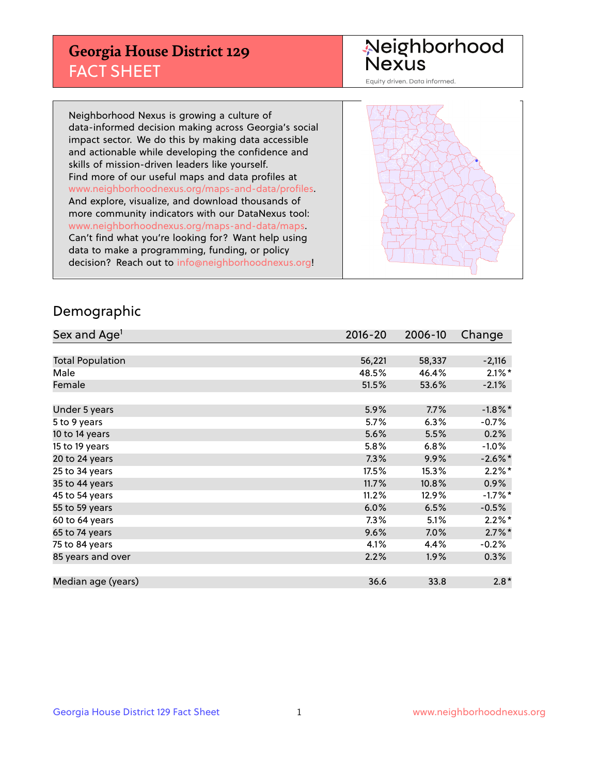## **Georgia House District 129** FACT SHEET

# Neighborhood<br>Nexus

Equity driven. Data informed.

Neighborhood Nexus is growing a culture of data-informed decision making across Georgia's social impact sector. We do this by making data accessible and actionable while developing the confidence and skills of mission-driven leaders like yourself. Find more of our useful maps and data profiles at www.neighborhoodnexus.org/maps-and-data/profiles. And explore, visualize, and download thousands of more community indicators with our DataNexus tool: www.neighborhoodnexus.org/maps-and-data/maps. Can't find what you're looking for? Want help using data to make a programming, funding, or policy decision? Reach out to [info@neighborhoodnexus.org!](mailto:info@neighborhoodnexus.org)



### Demographic

| Sex and Age <sup>1</sup> | 2016-20 | 2006-10 | Change               |
|--------------------------|---------|---------|----------------------|
|                          |         |         |                      |
| <b>Total Population</b>  | 56,221  | 58,337  | $-2,116$             |
| Male                     | 48.5%   | 46.4%   | $2.1\%$ *            |
| Female                   | 51.5%   | 53.6%   | $-2.1%$              |
|                          |         |         |                      |
| Under 5 years            | 5.9%    | 7.7%    | $-1.8\%$ *           |
| 5 to 9 years             | 5.7%    | 6.3%    | $-0.7\%$             |
| 10 to 14 years           | 5.6%    | 5.5%    | 0.2%                 |
| 15 to 19 years           | 5.8%    | 6.8%    | $-1.0%$              |
| 20 to 24 years           | 7.3%    | 9.9%    | $-2.6\%$ *           |
| 25 to 34 years           | 17.5%   | 15.3%   | $2.2\%$ *            |
| 35 to 44 years           | 11.7%   | 10.8%   | 0.9%                 |
| 45 to 54 years           | 11.2%   | 12.9%   | $-1.7%$ *            |
| 55 to 59 years           | 6.0%    | 6.5%    | $-0.5%$              |
| 60 to 64 years           | 7.3%    | 5.1%    | $2.2\%$ <sup>*</sup> |
| 65 to 74 years           | 9.6%    | 7.0%    | $2.7\%$ *            |
| 75 to 84 years           | 4.1%    | 4.4%    | $-0.2%$              |
| 85 years and over        | 2.2%    | 1.9%    | $0.3\%$              |
|                          |         |         |                      |
| Median age (years)       | 36.6    | 33.8    | $2.8*$               |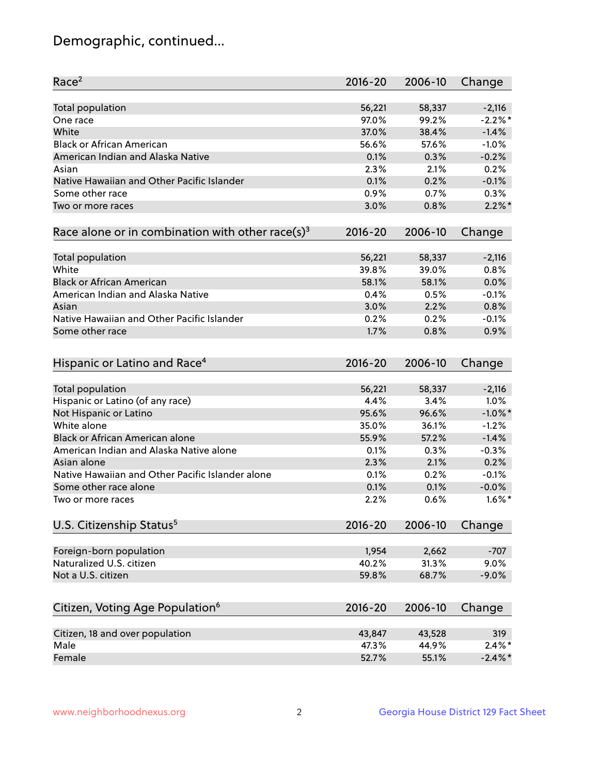## Demographic, continued...

| Race <sup>2</sup>                                            | 2016-20     | 2006-10 | Change     |
|--------------------------------------------------------------|-------------|---------|------------|
| <b>Total population</b>                                      | 56,221      | 58,337  | $-2,116$   |
| One race                                                     | 97.0%       | 99.2%   | $-2.2%$ *  |
| White                                                        | 37.0%       | 38.4%   | $-1.4%$    |
| <b>Black or African American</b>                             | 56.6%       | 57.6%   | $-1.0%$    |
| American Indian and Alaska Native                            | 0.1%        | 0.3%    | $-0.2%$    |
| Asian                                                        | 2.3%        | 2.1%    | 0.2%       |
| Native Hawaiian and Other Pacific Islander                   | 0.1%        | 0.2%    | $-0.1%$    |
| Some other race                                              | 0.9%        | 0.7%    | 0.3%       |
| Two or more races                                            | 3.0%        | 0.8%    | $2.2\%$ *  |
| Race alone or in combination with other race(s) <sup>3</sup> | $2016 - 20$ | 2006-10 | Change     |
| <b>Total population</b>                                      | 56,221      | 58,337  | $-2,116$   |
| White                                                        | 39.8%       | 39.0%   | 0.8%       |
| <b>Black or African American</b>                             | 58.1%       | 58.1%   | 0.0%       |
| American Indian and Alaska Native                            | 0.4%        | 0.5%    | $-0.1%$    |
| Asian                                                        | 3.0%        | 2.2%    | 0.8%       |
| Native Hawaiian and Other Pacific Islander                   | 0.2%        | 0.2%    | $-0.1%$    |
| Some other race                                              | 1.7%        | 0.8%    | 0.9%       |
| Hispanic or Latino and Race <sup>4</sup>                     | $2016 - 20$ | 2006-10 | Change     |
| <b>Total population</b>                                      | 56,221      | 58,337  | $-2,116$   |
| Hispanic or Latino (of any race)                             | 4.4%        | 3.4%    | 1.0%       |
| Not Hispanic or Latino                                       | 95.6%       | 96.6%   | $-1.0\%$ * |
| White alone                                                  | 35.0%       | 36.1%   | $-1.2%$    |
| <b>Black or African American alone</b>                       | 55.9%       | 57.2%   | $-1.4%$    |
| American Indian and Alaska Native alone                      | 0.1%        | 0.3%    | $-0.3%$    |
| Asian alone                                                  | 2.3%        | 2.1%    | 0.2%       |
| Native Hawaiian and Other Pacific Islander alone             | 0.1%        | 0.2%    | $-0.1%$    |
| Some other race alone                                        | 0.1%        | 0.1%    | $-0.0%$    |
| Two or more races                                            | 2.2%        | 0.6%    | $1.6\%$ *  |
| U.S. Citizenship Status <sup>5</sup>                         | $2016 - 20$ | 2006-10 | Change     |
| Foreign-born population                                      | 1,954       | 2,662   | $-707$     |
| Naturalized U.S. citizen                                     | 40.2%       | 31.3%   | 9.0%       |
| Not a U.S. citizen                                           | 59.8%       | 68.7%   | $-9.0%$    |
|                                                              |             |         |            |
| Citizen, Voting Age Population <sup>6</sup>                  | $2016 - 20$ | 2006-10 | Change     |
| Citizen, 18 and over population                              | 43,847      | 43,528  | 319        |
| Male                                                         | 47.3%       | 44.9%   | $2.4\%$ *  |
| Female                                                       | 52.7%       | 55.1%   | $-2.4\%$ * |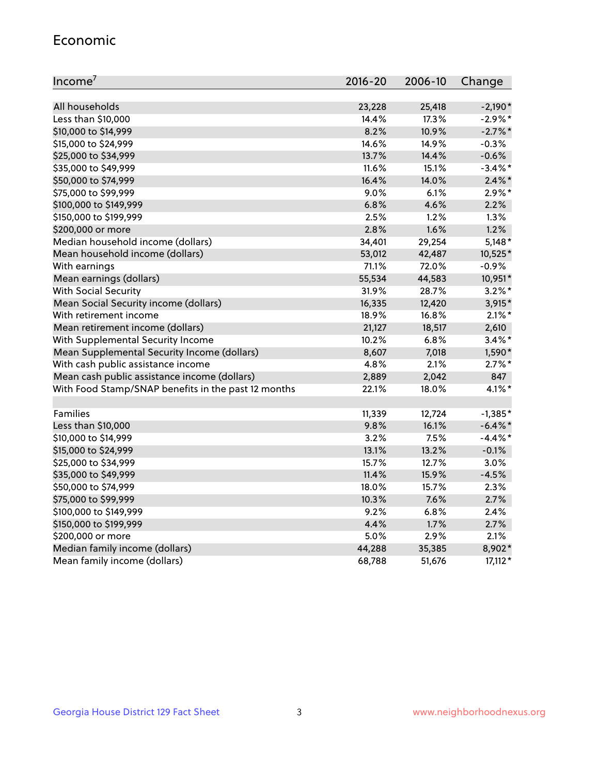#### Economic

| Income <sup>7</sup>                                 | 2016-20 | 2006-10 | Change     |
|-----------------------------------------------------|---------|---------|------------|
|                                                     |         |         |            |
| All households                                      | 23,228  | 25,418  | $-2,190*$  |
| Less than \$10,000                                  | 14.4%   | 17.3%   | $-2.9\%$ * |
| \$10,000 to \$14,999                                | 8.2%    | 10.9%   | $-2.7\%$ * |
| \$15,000 to \$24,999                                | 14.6%   | 14.9%   | $-0.3%$    |
| \$25,000 to \$34,999                                | 13.7%   | 14.4%   | $-0.6%$    |
| \$35,000 to \$49,999                                | 11.6%   | 15.1%   | $-3.4\%$ * |
| \$50,000 to \$74,999                                | 16.4%   | 14.0%   | $2.4\%$ *  |
| \$75,000 to \$99,999                                | 9.0%    | 6.1%    | $2.9\%*$   |
| \$100,000 to \$149,999                              | 6.8%    | 4.6%    | 2.2%       |
| \$150,000 to \$199,999                              | 2.5%    | 1.2%    | 1.3%       |
| \$200,000 or more                                   | 2.8%    | 1.6%    | 1.2%       |
| Median household income (dollars)                   | 34,401  | 29,254  | $5,148*$   |
| Mean household income (dollars)                     | 53,012  | 42,487  | 10,525*    |
| With earnings                                       | 71.1%   | 72.0%   | $-0.9%$    |
| Mean earnings (dollars)                             | 55,534  | 44,583  | 10,951*    |
| <b>With Social Security</b>                         | 31.9%   | 28.7%   | $3.2\%$ *  |
| Mean Social Security income (dollars)               | 16,335  | 12,420  | 3,915*     |
| With retirement income                              | 18.9%   | 16.8%   | $2.1\%$ *  |
| Mean retirement income (dollars)                    | 21,127  | 18,517  | 2,610      |
| With Supplemental Security Income                   | 10.2%   | 6.8%    | $3.4\%$ *  |
| Mean Supplemental Security Income (dollars)         | 8,607   | 7,018   | 1,590*     |
| With cash public assistance income                  | 4.8%    | 2.1%    | $2.7\%$ *  |
| Mean cash public assistance income (dollars)        | 2,889   | 2,042   | 847        |
| With Food Stamp/SNAP benefits in the past 12 months | 22.1%   | 18.0%   | $4.1\%$ *  |
|                                                     |         |         |            |
| Families                                            | 11,339  | 12,724  | $-1,385*$  |
| Less than \$10,000                                  | 9.8%    | 16.1%   | $-6.4\%$ * |
| \$10,000 to \$14,999                                | 3.2%    | 7.5%    | $-4.4\%$ * |
| \$15,000 to \$24,999                                | 13.1%   | 13.2%   | $-0.1%$    |
| \$25,000 to \$34,999                                | 15.7%   | 12.7%   | 3.0%       |
| \$35,000 to \$49,999                                | 11.4%   | 15.9%   | $-4.5%$    |
| \$50,000 to \$74,999                                | 18.0%   | 15.7%   | 2.3%       |
| \$75,000 to \$99,999                                | 10.3%   | 7.6%    | 2.7%       |
| \$100,000 to \$149,999                              | $9.2\%$ | 6.8%    | 2.4%       |
| \$150,000 to \$199,999                              | 4.4%    | 1.7%    | 2.7%       |
| \$200,000 or more                                   | 5.0%    | 2.9%    | 2.1%       |
| Median family income (dollars)                      | 44,288  | 35,385  | 8,902*     |
| Mean family income (dollars)                        | 68,788  | 51,676  | $17,112*$  |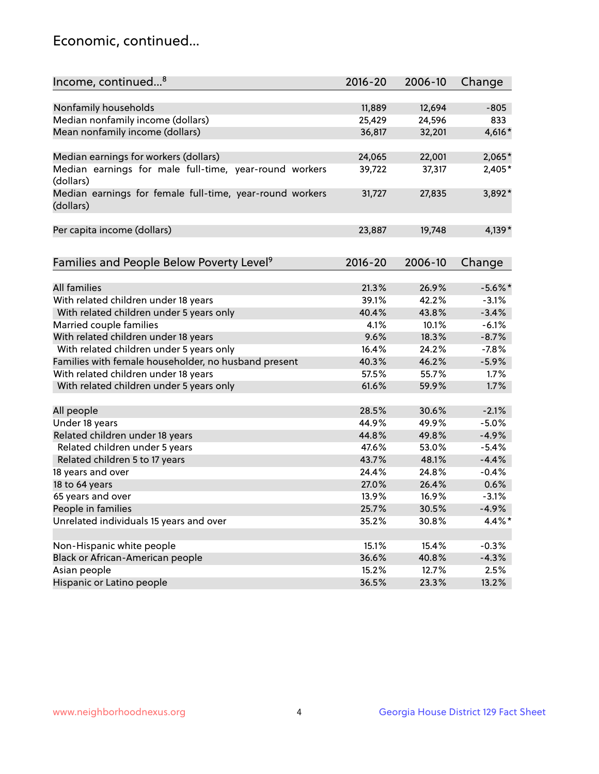## Economic, continued...

| Income, continued <sup>8</sup>                                        | $2016 - 20$ | 2006-10 | Change     |
|-----------------------------------------------------------------------|-------------|---------|------------|
|                                                                       |             |         |            |
| Nonfamily households                                                  | 11,889      | 12,694  | $-805$     |
| Median nonfamily income (dollars)                                     | 25,429      | 24,596  | 833        |
| Mean nonfamily income (dollars)                                       | 36,817      | 32,201  | 4,616*     |
| Median earnings for workers (dollars)                                 | 24,065      | 22,001  | 2,065*     |
| Median earnings for male full-time, year-round workers                | 39,722      | 37,317  | 2,405*     |
| (dollars)                                                             |             |         |            |
| Median earnings for female full-time, year-round workers<br>(dollars) | 31,727      | 27,835  | 3,892*     |
| Per capita income (dollars)                                           | 23,887      | 19,748  | $4,139*$   |
|                                                                       |             |         |            |
| Families and People Below Poverty Level <sup>9</sup>                  | 2016-20     | 2006-10 | Change     |
|                                                                       |             |         |            |
| <b>All families</b>                                                   | 21.3%       | 26.9%   | $-5.6\%$ * |
| With related children under 18 years                                  | 39.1%       | 42.2%   | $-3.1%$    |
| With related children under 5 years only                              | 40.4%       | 43.8%   | $-3.4%$    |
| Married couple families                                               | 4.1%        | 10.1%   | $-6.1%$    |
| With related children under 18 years                                  | 9.6%        | 18.3%   | $-8.7%$    |
| With related children under 5 years only                              | 16.4%       | 24.2%   | $-7.8%$    |
| Families with female householder, no husband present                  | 40.3%       | 46.2%   | $-5.9%$    |
| With related children under 18 years                                  | 57.5%       | 55.7%   | 1.7%       |
| With related children under 5 years only                              | 61.6%       | 59.9%   | 1.7%       |
| All people                                                            | 28.5%       | 30.6%   | $-2.1%$    |
| Under 18 years                                                        | 44.9%       | 49.9%   | $-5.0%$    |
|                                                                       |             |         |            |
| Related children under 18 years                                       | 44.8%       | 49.8%   | $-4.9%$    |
| Related children under 5 years                                        | 47.6%       | 53.0%   | $-5.4%$    |
| Related children 5 to 17 years                                        | 43.7%       | 48.1%   | $-4.4%$    |
| 18 years and over                                                     | 24.4%       | 24.8%   | $-0.4%$    |
| 18 to 64 years                                                        | 27.0%       | 26.4%   | 0.6%       |
| 65 years and over                                                     | 13.9%       | 16.9%   | $-3.1%$    |
| People in families                                                    | 25.7%       | 30.5%   | $-4.9%$    |
| Unrelated individuals 15 years and over                               | 35.2%       | 30.8%   | 4.4%*      |
|                                                                       | 15.1%       | 15.4%   | $-0.3%$    |
| Non-Hispanic white people                                             |             |         |            |
| Black or African-American people                                      | 36.6%       | 40.8%   | $-4.3%$    |
| Asian people                                                          | 15.2%       | 12.7%   | 2.5%       |
| Hispanic or Latino people                                             | 36.5%       | 23.3%   | 13.2%      |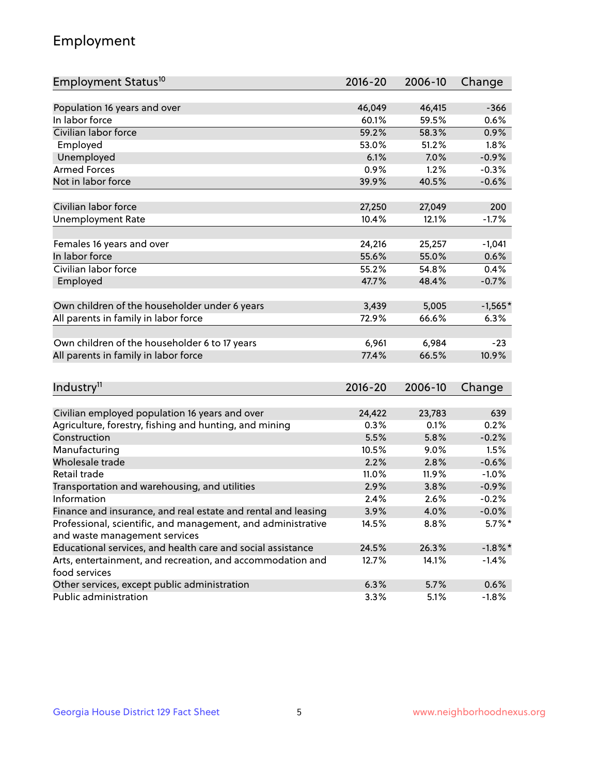## Employment

| Employment Status <sup>10</sup>                                             | $2016 - 20$ | 2006-10 | Change     |
|-----------------------------------------------------------------------------|-------------|---------|------------|
|                                                                             |             |         |            |
| Population 16 years and over                                                | 46,049      | 46,415  | $-366$     |
| In labor force                                                              | 60.1%       | 59.5%   | 0.6%       |
| Civilian labor force                                                        | 59.2%       | 58.3%   | 0.9%       |
| Employed                                                                    | 53.0%       | 51.2%   | 1.8%       |
| Unemployed                                                                  | 6.1%        | 7.0%    | $-0.9%$    |
| <b>Armed Forces</b>                                                         | 0.9%        | 1.2%    | $-0.3%$    |
| Not in labor force                                                          | 39.9%       | 40.5%   | $-0.6%$    |
|                                                                             |             |         |            |
| Civilian labor force                                                        | 27,250      | 27,049  | 200        |
| <b>Unemployment Rate</b>                                                    | 10.4%       | 12.1%   | $-1.7%$    |
|                                                                             |             |         |            |
| Females 16 years and over                                                   | 24,216      | 25,257  | $-1,041$   |
| In labor force                                                              | 55.6%       | 55.0%   | 0.6%       |
| Civilian labor force                                                        | 55.2%       | 54.8%   | 0.4%       |
| Employed                                                                    | 47.7%       | 48.4%   | $-0.7%$    |
| Own children of the householder under 6 years                               | 3,439       | 5,005   | $-1,565*$  |
| All parents in family in labor force                                        | 72.9%       | 66.6%   | 6.3%       |
|                                                                             |             |         |            |
| Own children of the householder 6 to 17 years                               | 6,961       | 6,984   | $-23$      |
| All parents in family in labor force                                        | 77.4%       | 66.5%   | 10.9%      |
|                                                                             |             |         |            |
| Industry <sup>11</sup>                                                      | $2016 - 20$ | 2006-10 | Change     |
|                                                                             |             |         |            |
| Civilian employed population 16 years and over                              | 24,422      | 23,783  | 639        |
| Agriculture, forestry, fishing and hunting, and mining                      | 0.3%        | 0.1%    | 0.2%       |
| Construction                                                                | 5.5%        | 5.8%    | $-0.2%$    |
| Manufacturing                                                               | 10.5%       | 9.0%    | 1.5%       |
| Wholesale trade                                                             | 2.2%        | 2.8%    | $-0.6%$    |
| Retail trade                                                                | 11.0%       | 11.9%   | $-1.0%$    |
| Transportation and warehousing, and utilities                               | 2.9%        | 3.8%    | $-0.9%$    |
| Information                                                                 | 2.4%        | 2.6%    | $-0.2%$    |
| Finance and insurance, and real estate and rental and leasing               | 3.9%        | 4.0%    | $-0.0\%$   |
| Professional, scientific, and management, and administrative                | 14.5%       | 8.8%    | $5.7\%$ *  |
| and waste management services                                               |             |         |            |
| Educational services, and health care and social assistance                 | 24.5%       | 26.3%   | $-1.8\%$ * |
| Arts, entertainment, and recreation, and accommodation and<br>food services | 12.7%       | 14.1%   | $-1.4%$    |
| Other services, except public administration                                | 6.3%        | 5.7%    | 0.6%       |
| Public administration                                                       | 3.3%        | 5.1%    | $-1.8%$    |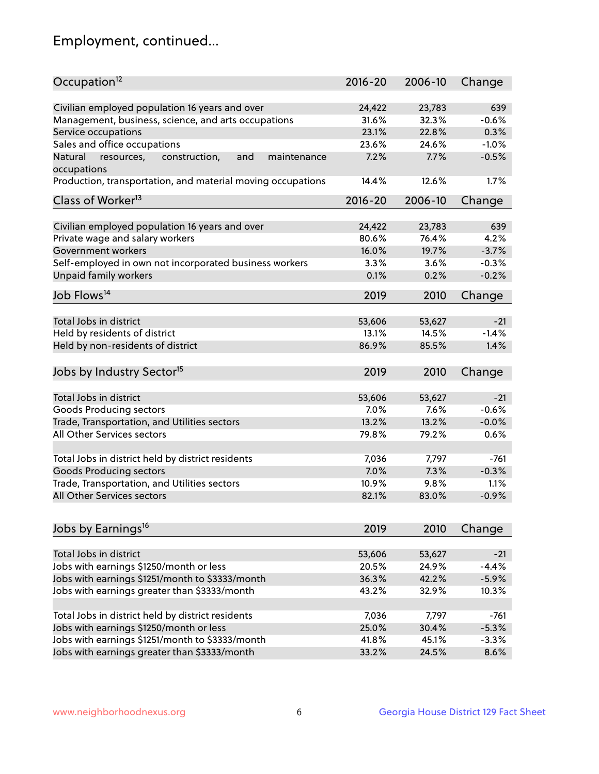## Employment, continued...

| Occupation <sup>12</sup>                                                    | $2016 - 20$    | 2006-10        | Change          |
|-----------------------------------------------------------------------------|----------------|----------------|-----------------|
| Civilian employed population 16 years and over                              |                |                |                 |
|                                                                             | 24,422         | 23,783         | 639             |
| Management, business, science, and arts occupations<br>Service occupations  | 31.6%<br>23.1% | 32.3%<br>22.8% | $-0.6%$<br>0.3% |
|                                                                             |                |                |                 |
| Sales and office occupations                                                | 23.6%          | 24.6%          | $-1.0%$         |
| Natural<br>and<br>resources,<br>construction,<br>maintenance<br>occupations | 7.2%           | 7.7%           | $-0.5%$         |
| Production, transportation, and material moving occupations                 | 14.4%          | 12.6%          | 1.7%            |
| Class of Worker <sup>13</sup>                                               | 2016-20        | 2006-10        | Change          |
|                                                                             |                |                |                 |
| Civilian employed population 16 years and over                              | 24,422         | 23,783         | 639             |
| Private wage and salary workers                                             | 80.6%          | 76.4%          | 4.2%            |
| Government workers                                                          | 16.0%          | 19.7%          | $-3.7%$         |
| Self-employed in own not incorporated business workers                      | 3.3%           | 3.6%           | $-0.3%$         |
| Unpaid family workers                                                       | 0.1%           | 0.2%           | $-0.2%$         |
| Job Flows <sup>14</sup>                                                     | 2019           | 2010           | Change          |
|                                                                             |                |                |                 |
| Total Jobs in district                                                      | 53,606         | 53,627         | $-21$           |
| Held by residents of district                                               | 13.1%          | 14.5%          | $-1.4%$         |
| Held by non-residents of district                                           | 86.9%          | 85.5%          | 1.4%            |
|                                                                             |                |                |                 |
| Jobs by Industry Sector <sup>15</sup>                                       | 2019           | 2010           | Change          |
| Total Jobs in district                                                      | 53,606         | 53,627         | $-21$           |
| Goods Producing sectors                                                     | 7.0%           | 7.6%           | $-0.6%$         |
| Trade, Transportation, and Utilities sectors                                | 13.2%          | 13.2%          | $-0.0%$         |
| All Other Services sectors                                                  | 79.8%          | 79.2%          | 0.6%            |
|                                                                             |                |                |                 |
| Total Jobs in district held by district residents                           | 7,036          | 7,797          | $-761$          |
| <b>Goods Producing sectors</b>                                              | 7.0%           | 7.3%           | $-0.3%$         |
| Trade, Transportation, and Utilities sectors                                | 10.9%          | 9.8%           | 1.1%            |
| All Other Services sectors                                                  | 82.1%          | 83.0%          | $-0.9%$         |
|                                                                             |                |                |                 |
| Jobs by Earnings <sup>16</sup>                                              | 2019           | 2010           | Change          |
|                                                                             |                |                |                 |
| Total Jobs in district                                                      | 53,606         | 53,627         | $-21$           |
| Jobs with earnings \$1250/month or less                                     | 20.5%          | 24.9%          | $-4.4%$         |
| Jobs with earnings \$1251/month to \$3333/month                             | 36.3%          | 42.2%          | $-5.9%$         |
| Jobs with earnings greater than \$3333/month                                | 43.2%          | 32.9%          | 10.3%           |
|                                                                             |                |                |                 |
| Total Jobs in district held by district residents                           | 7,036          | 7,797          | $-761$          |
| Jobs with earnings \$1250/month or less                                     | 25.0%          | 30.4%          | $-5.3%$         |
| Jobs with earnings \$1251/month to \$3333/month                             | 41.8%          | 45.1%          | $-3.3%$         |
| Jobs with earnings greater than \$3333/month                                | 33.2%          | 24.5%          | 8.6%            |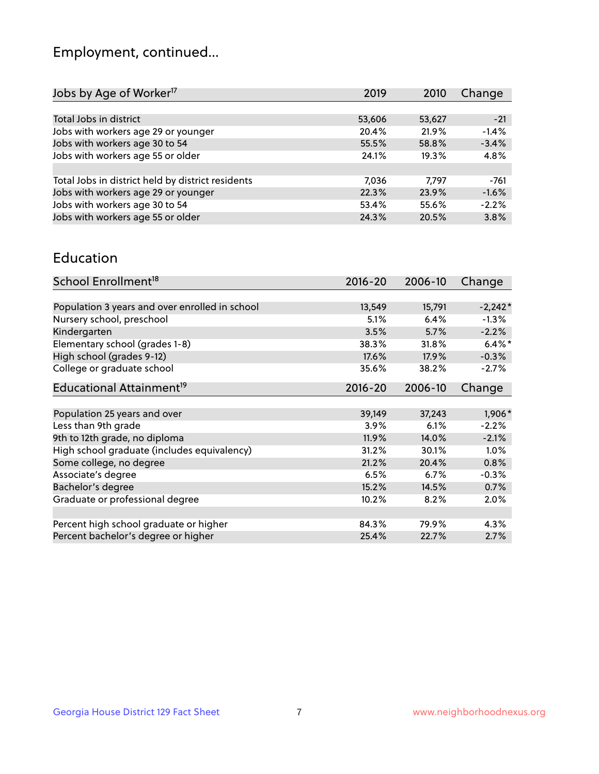## Employment, continued...

| Jobs by Age of Worker <sup>17</sup>               | 2019   | 2010   | Change  |
|---------------------------------------------------|--------|--------|---------|
|                                                   |        |        |         |
| Total Jobs in district                            | 53,606 | 53,627 | $-21$   |
| Jobs with workers age 29 or younger               | 20.4%  | 21.9%  | $-1.4%$ |
| Jobs with workers age 30 to 54                    | 55.5%  | 58.8%  | $-3.4%$ |
| Jobs with workers age 55 or older                 | 24.1%  | 19.3%  | 4.8%    |
|                                                   |        |        |         |
| Total Jobs in district held by district residents | 7,036  | 7.797  | $-761$  |
| Jobs with workers age 29 or younger               | 22.3%  | 23.9%  | $-1.6%$ |
| Jobs with workers age 30 to 54                    | 53.4%  | 55.6%  | $-2.2%$ |
| Jobs with workers age 55 or older                 | 24.3%  | 20.5%  | 3.8%    |
|                                                   |        |        |         |

#### Education

| School Enrollment <sup>18</sup>                | $2016 - 20$ | 2006-10 | Change    |
|------------------------------------------------|-------------|---------|-----------|
|                                                |             |         |           |
| Population 3 years and over enrolled in school | 13,549      | 15,791  | $-2,242*$ |
| Nursery school, preschool                      | 5.1%        | 6.4%    | $-1.3\%$  |
| Kindergarten                                   | 3.5%        | 5.7%    | $-2.2%$   |
| Elementary school (grades 1-8)                 | 38.3%       | 31.8%   | $6.4\%$ * |
| High school (grades 9-12)                      | 17.6%       | 17.9%   | $-0.3%$   |
| College or graduate school                     | 35.6%       | 38.2%   | $-2.7%$   |
| Educational Attainment <sup>19</sup>           | $2016 - 20$ | 2006-10 | Change    |
|                                                |             |         |           |
| Population 25 years and over                   | 39,149      | 37,243  | 1,906*    |
| Less than 9th grade                            | 3.9%        | 6.1%    | $-2.2%$   |
| 9th to 12th grade, no diploma                  | 11.9%       | 14.0%   | $-2.1%$   |
| High school graduate (includes equivalency)    | 31.2%       | 30.1%   | $1.0\%$   |
| Some college, no degree                        | 21.2%       | 20.4%   | 0.8%      |
| Associate's degree                             | 6.5%        | 6.7%    | $-0.3%$   |
| Bachelor's degree                              | 15.2%       | 14.5%   | 0.7%      |
| Graduate or professional degree                | 10.2%       | 8.2%    | 2.0%      |
|                                                |             |         |           |
| Percent high school graduate or higher         | 84.3%       | 79.9%   | 4.3%      |
| Percent bachelor's degree or higher            | 25.4%       | 22.7%   | 2.7%      |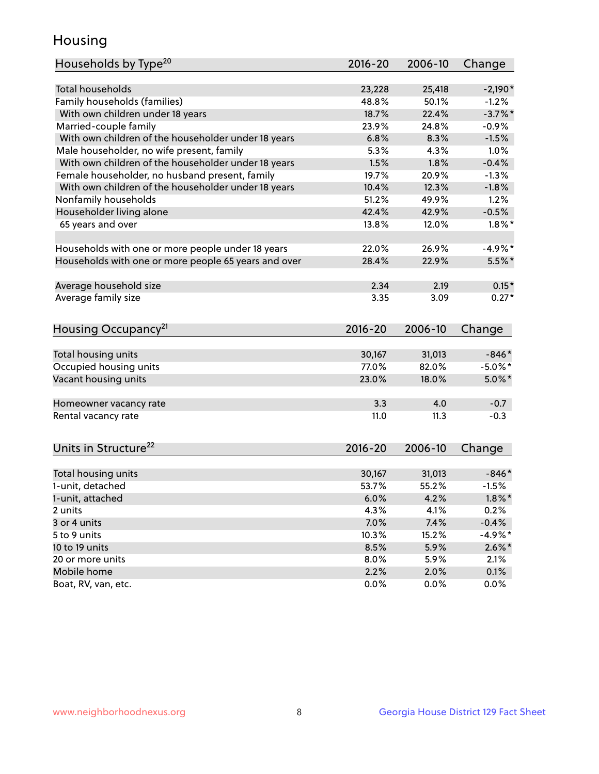## Housing

| Households by Type <sup>20</sup>                     | 2016-20     | 2006-10      | Change     |
|------------------------------------------------------|-------------|--------------|------------|
|                                                      |             |              |            |
| <b>Total households</b>                              | 23,228      | 25,418       | $-2,190*$  |
| Family households (families)                         | 48.8%       | 50.1%        | $-1.2%$    |
| With own children under 18 years                     | 18.7%       | 22.4%        | $-3.7%$ *  |
| Married-couple family                                | 23.9%       | 24.8%        | $-0.9%$    |
| With own children of the householder under 18 years  | 6.8%        | 8.3%         | $-1.5%$    |
| Male householder, no wife present, family            | 5.3%        | 4.3%         | 1.0%       |
| With own children of the householder under 18 years  | 1.5%        | 1.8%         | $-0.4%$    |
| Female householder, no husband present, family       | 19.7%       | 20.9%        | $-1.3%$    |
| With own children of the householder under 18 years  | 10.4%       | 12.3%        | $-1.8%$    |
| Nonfamily households                                 | 51.2%       | 49.9%        | 1.2%       |
| Householder living alone                             | 42.4%       | 42.9%        | $-0.5%$    |
| 65 years and over                                    | 13.8%       | 12.0%        | $1.8\%$ *  |
| Households with one or more people under 18 years    | 22.0%       | 26.9%        | $-4.9%$    |
| Households with one or more people 65 years and over | 28.4%       | 22.9%        | $5.5\%$ *  |
| Average household size                               | 2.34        | 2.19         | $0.15*$    |
| Average family size                                  | 3.35        | 3.09         | $0.27*$    |
|                                                      |             |              |            |
| Housing Occupancy <sup>21</sup>                      | $2016 - 20$ | 2006-10      | Change     |
| Total housing units                                  | 30,167      | 31,013       | $-846*$    |
| Occupied housing units                               | 77.0%       | 82.0%        | $-5.0\%$ * |
| Vacant housing units                                 | 23.0%       | 18.0%        | $5.0\%$ *  |
|                                                      |             |              |            |
| Homeowner vacancy rate                               | 3.3         | 4.0          | $-0.7$     |
| Rental vacancy rate                                  | 11.0        | 11.3         | $-0.3$     |
| Units in Structure <sup>22</sup>                     | 2016-20     | 2006-10      | Change     |
| Total housing units                                  | 30,167      | 31,013       | $-846*$    |
| 1-unit, detached                                     | 53.7%       | 55.2%        | $-1.5%$    |
| 1-unit, attached                                     | 6.0%        | 4.2%         | $1.8\%$ *  |
| 2 units                                              | 4.3%        | 4.1%         | 0.2%       |
| 3 or 4 units                                         | 7.0%        | 7.4%         | $-0.4%$    |
| 5 to 9 units                                         | 10.3%       | 15.2%        | $-4.9%$ *  |
|                                                      |             |              |            |
| 10 to 19 units                                       | 8.5%        | 5.9%         | $2.6\%$ *  |
| 20 or more units                                     | 8.0%        | 5.9%<br>2.0% | 2.1%       |
| Mobile home                                          | 2.2%        |              | 0.1%       |
| Boat, RV, van, etc.                                  | 0.0%        | 0.0%         | 0.0%       |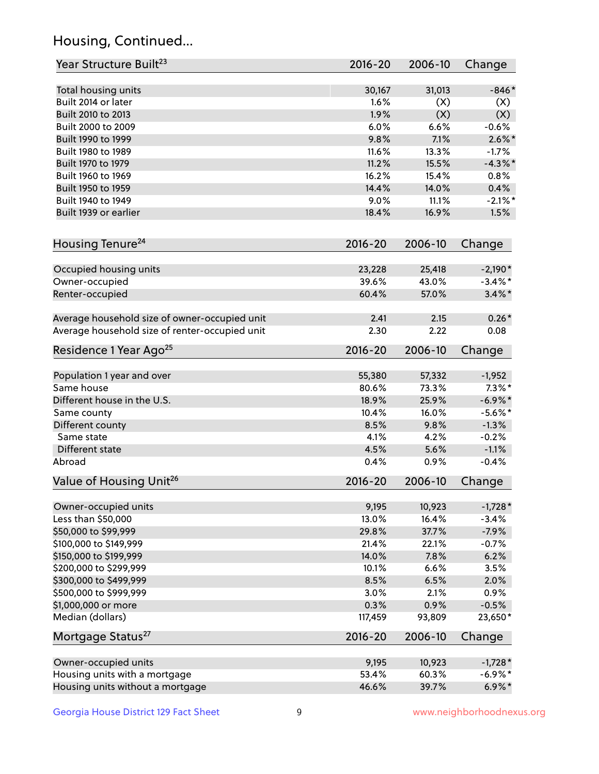## Housing, Continued...

| Year Structure Built <sup>23</sup>             | 2016-20     | 2006-10 | Change     |
|------------------------------------------------|-------------|---------|------------|
| Total housing units                            | 30,167      | 31,013  | $-846*$    |
| Built 2014 or later                            | 1.6%        | (X)     | (X)        |
| Built 2010 to 2013                             | 1.9%        | (X)     | (X)        |
| Built 2000 to 2009                             | 6.0%        | 6.6%    | $-0.6%$    |
| Built 1990 to 1999                             | 9.8%        | 7.1%    | $2.6\%$ *  |
| Built 1980 to 1989                             | 11.6%       | 13.3%   | $-1.7%$    |
| Built 1970 to 1979                             | 11.2%       | 15.5%   | $-4.3\%$ * |
| Built 1960 to 1969                             | 16.2%       | 15.4%   | 0.8%       |
| Built 1950 to 1959                             | 14.4%       | 14.0%   | 0.4%       |
| Built 1940 to 1949                             | 9.0%        | 11.1%   | $-2.1\%$ * |
| Built 1939 or earlier                          | 18.4%       | 16.9%   | 1.5%       |
| Housing Tenure <sup>24</sup>                   | $2016 - 20$ | 2006-10 | Change     |
| Occupied housing units                         | 23,228      | 25,418  | $-2,190*$  |
| Owner-occupied                                 | 39.6%       | 43.0%   | $-3.4\%$ * |
| Renter-occupied                                | 60.4%       | 57.0%   | $3.4\%$ *  |
| Average household size of owner-occupied unit  | 2.41        | 2.15    | $0.26*$    |
| Average household size of renter-occupied unit | 2.30        | 2.22    | 0.08       |
| Residence 1 Year Ago <sup>25</sup>             | $2016 - 20$ | 2006-10 | Change     |
| Population 1 year and over                     | 55,380      | 57,332  | $-1,952$   |
| Same house                                     | 80.6%       | 73.3%   | $7.3\%$ *  |
| Different house in the U.S.                    | 18.9%       | 25.9%   | $-6.9\%$ * |
| Same county                                    | 10.4%       | 16.0%   | $-5.6\%$ * |
| Different county                               | 8.5%        | 9.8%    | $-1.3%$    |
| Same state                                     | 4.1%        | 4.2%    | $-0.2%$    |
| Different state                                | 4.5%        | 5.6%    | $-1.1%$    |
| Abroad                                         | 0.4%        | 0.9%    | $-0.4%$    |
| Value of Housing Unit <sup>26</sup>            | $2016 - 20$ | 2006-10 | Change     |
| Owner-occupied units                           | 9,195       | 10,923  | $-1,728*$  |
| Less than \$50,000                             | 13.0%       | 16.4%   | $-3.4%$    |
| \$50,000 to \$99,999                           | 29.8%       | 37.7%   | $-7.9%$    |
| \$100,000 to \$149,999                         | 21.4%       | 22.1%   | $-0.7%$    |
| \$150,000 to \$199,999                         | 14.0%       | 7.8%    | 6.2%       |
| \$200,000 to \$299,999                         | 10.1%       | 6.6%    | 3.5%       |
| \$300,000 to \$499,999                         | 8.5%        | 6.5%    | 2.0%       |
| \$500,000 to \$999,999                         | 3.0%        | 2.1%    | 0.9%       |
| \$1,000,000 or more                            | 0.3%        | 0.9%    | $-0.5%$    |
| Median (dollars)                               | 117,459     | 93,809  | 23,650*    |
| Mortgage Status <sup>27</sup>                  | $2016 - 20$ | 2006-10 | Change     |
| Owner-occupied units                           | 9,195       | 10,923  | $-1,728*$  |
| Housing units with a mortgage                  | 53.4%       | 60.3%   | $-6.9\%$ * |
| Housing units without a mortgage               | 46.6%       | 39.7%   | $6.9\% *$  |
|                                                |             |         |            |

Georgia House District 129 Fact Sheet 9 9 9 www.neighborhoodnexus.org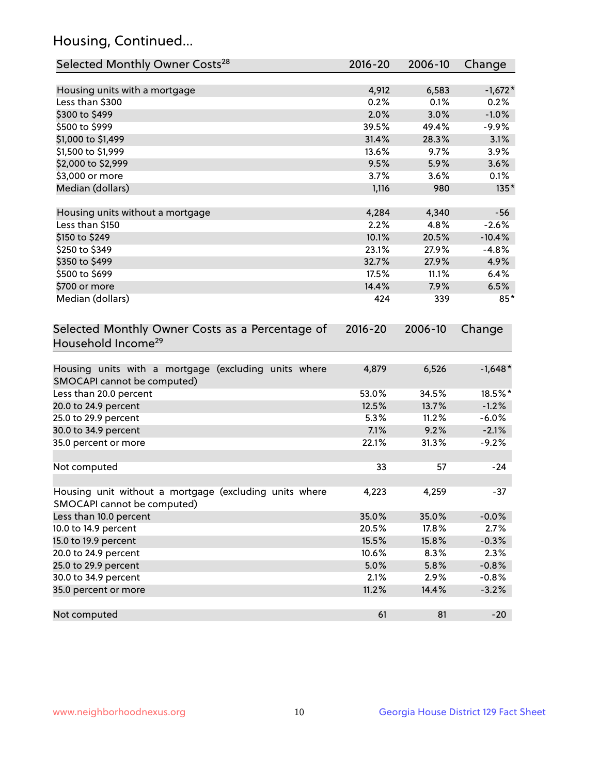## Housing, Continued...

| Selected Monthly Owner Costs <sup>28</sup>                                            | 2016-20     | 2006-10 | Change    |
|---------------------------------------------------------------------------------------|-------------|---------|-----------|
| Housing units with a mortgage                                                         | 4,912       | 6,583   | $-1,672*$ |
| Less than \$300                                                                       | 0.2%        | 0.1%    | 0.2%      |
| \$300 to \$499                                                                        | 2.0%        | 3.0%    | $-1.0%$   |
| \$500 to \$999                                                                        | 39.5%       | 49.4%   | $-9.9%$   |
| \$1,000 to \$1,499                                                                    | 31.4%       | 28.3%   | 3.1%      |
| \$1,500 to \$1,999                                                                    | 13.6%       | 9.7%    | 3.9%      |
| \$2,000 to \$2,999                                                                    | 9.5%        | 5.9%    | 3.6%      |
| \$3,000 or more                                                                       | 3.7%        | 3.6%    | 0.1%      |
| Median (dollars)                                                                      | 1,116       | 980     | $135*$    |
| Housing units without a mortgage                                                      | 4,284       | 4,340   | $-56$     |
| Less than \$150                                                                       | 2.2%        | 4.8%    | $-2.6%$   |
| \$150 to \$249                                                                        | 10.1%       | 20.5%   | $-10.4%$  |
| \$250 to \$349                                                                        | 23.1%       | 27.9%   | $-4.8%$   |
| \$350 to \$499                                                                        | 32.7%       | 27.9%   | 4.9%      |
| \$500 to \$699                                                                        | 17.5%       | 11.1%   | 6.4%      |
| \$700 or more                                                                         | 14.4%       | 7.9%    | 6.5%      |
| Median (dollars)                                                                      | 424         | 339     | $85*$     |
| Selected Monthly Owner Costs as a Percentage of<br>Household Income <sup>29</sup>     | $2016 - 20$ | 2006-10 | Change    |
| Housing units with a mortgage (excluding units where<br>SMOCAPI cannot be computed)   | 4,879       | 6,526   | $-1,648*$ |
| Less than 20.0 percent                                                                | 53.0%       | 34.5%   | 18.5%*    |
| 20.0 to 24.9 percent                                                                  | 12.5%       | 13.7%   | $-1.2%$   |
| 25.0 to 29.9 percent                                                                  | 5.3%        | 11.2%   | $-6.0%$   |
| 30.0 to 34.9 percent                                                                  | 7.1%        | 9.2%    | $-2.1%$   |
| 35.0 percent or more                                                                  | 22.1%       | 31.3%   | $-9.2%$   |
| Not computed                                                                          | 33          | 57      | $-24$     |
| Housing unit without a mortgage (excluding units where<br>SMOCAPI cannot be computed) | 4,223       | 4,259   | $-37$     |
| Less than 10.0 percent                                                                | 35.0%       | 35.0%   | $-0.0%$   |
| 10.0 to 14.9 percent                                                                  | 20.5%       | 17.8%   | 2.7%      |
| 15.0 to 19.9 percent                                                                  | 15.5%       | 15.8%   | $-0.3%$   |
| 20.0 to 24.9 percent                                                                  | 10.6%       | 8.3%    | 2.3%      |
| 25.0 to 29.9 percent                                                                  | 5.0%        | 5.8%    | $-0.8%$   |
| 30.0 to 34.9 percent                                                                  | 2.1%        | 2.9%    | $-0.8%$   |
| 35.0 percent or more                                                                  | 11.2%       | 14.4%   | $-3.2%$   |
| Not computed                                                                          | 61          | 81      | $-20$     |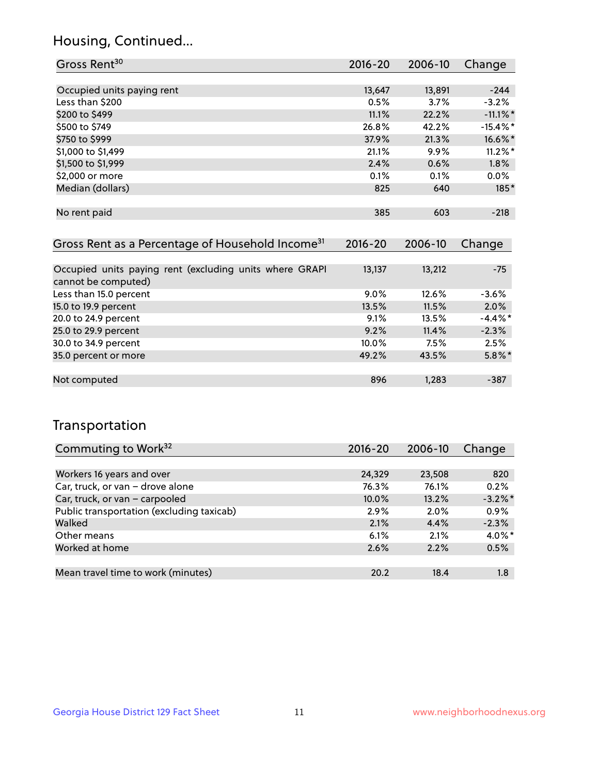## Housing, Continued...

| Gross Rent <sup>30</sup>   | 2016-20 | 2006-10 | Change      |
|----------------------------|---------|---------|-------------|
|                            |         |         |             |
| Occupied units paying rent | 13,647  | 13,891  | $-244$      |
| Less than \$200            | 0.5%    | 3.7%    | $-3.2%$     |
| \$200 to \$499             | 11.1%   | 22.2%   | $-11.1\%$ * |
| \$500 to \$749             | 26.8%   | 42.2%   | $-15.4\%$ * |
| \$750 to \$999             | 37.9%   | 21.3%   | 16.6%*      |
| \$1,000 to \$1,499         | 21.1%   | 9.9%    | $11.2\%$ *  |
| \$1,500 to \$1,999         | 2.4%    | 0.6%    | $1.8\%$     |
| \$2,000 or more            | 0.1%    | 0.1%    | $0.0\%$     |
| Median (dollars)           | 825     | 640     | $185*$      |
|                            |         |         |             |
| No rent paid               | 385     | 603     | $-218$      |
|                            |         |         |             |

| Gross Rent as a Percentage of Household Income <sup>31</sup>                   | $2016 - 20$ | 2006-10 | Change     |
|--------------------------------------------------------------------------------|-------------|---------|------------|
|                                                                                |             |         |            |
| Occupied units paying rent (excluding units where GRAPI<br>cannot be computed) | 13,137      | 13,212  | $-75$      |
| Less than 15.0 percent                                                         | $9.0\%$     | 12.6%   | $-3.6%$    |
| 15.0 to 19.9 percent                                                           | 13.5%       | 11.5%   | 2.0%       |
| 20.0 to 24.9 percent                                                           | 9.1%        | 13.5%   | $-4.4\%$ * |
| 25.0 to 29.9 percent                                                           | 9.2%        | 11.4%   | $-2.3%$    |
| 30.0 to 34.9 percent                                                           | 10.0%       | 7.5%    | 2.5%       |
| 35.0 percent or more                                                           | 49.2%       | 43.5%   | $5.8\%$ *  |
|                                                                                |             |         |            |
| Not computed                                                                   | 896         | 1,283   | $-387$     |

## Transportation

| Commuting to Work <sup>32</sup>           | 2016-20  | 2006-10 | Change     |
|-------------------------------------------|----------|---------|------------|
|                                           |          |         |            |
| Workers 16 years and over                 | 24,329   | 23,508  | 820        |
| Car, truck, or van - drove alone          | 76.3%    | 76.1%   | 0.2%       |
| Car, truck, or van - carpooled            | $10.0\%$ | 13.2%   | $-3.2\%$ * |
| Public transportation (excluding taxicab) | 2.9%     | 2.0%    | 0.9%       |
| Walked                                    | 2.1%     | 4.4%    | $-2.3%$    |
| Other means                               | 6.1%     | 2.1%    | $4.0\%$ *  |
| Worked at home                            | 2.6%     | 2.2%    | 0.5%       |
|                                           |          |         |            |
| Mean travel time to work (minutes)        | 20.2     | 18.4    | 1.8        |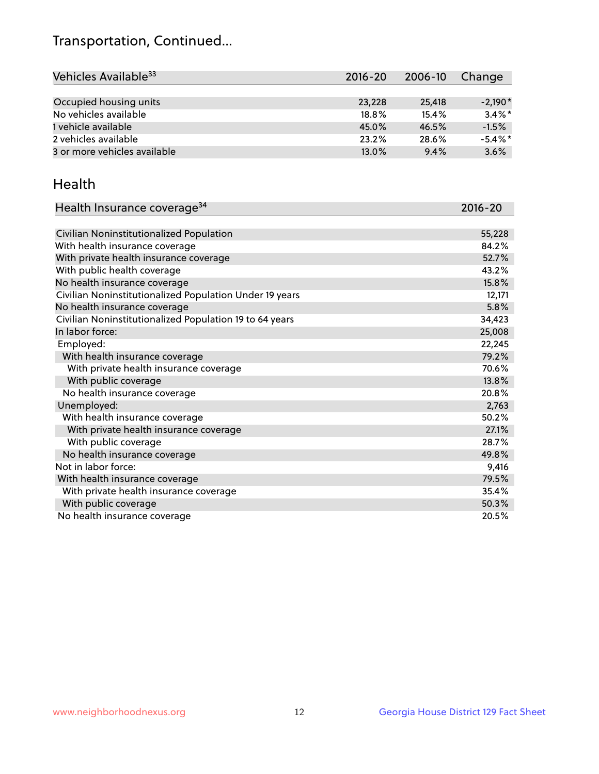## Transportation, Continued...

| Vehicles Available <sup>33</sup> | $2016 - 20$ | 2006-10 | Change     |
|----------------------------------|-------------|---------|------------|
|                                  |             |         |            |
| Occupied housing units           | 23,228      | 25,418  | $-2.190*$  |
| No vehicles available            | 18.8%       | 15.4%   | $3.4\%$ *  |
| 1 vehicle available              | 45.0%       | 46.5%   | $-1.5%$    |
| 2 vehicles available             | 23.2%       | 28.6%   | $-5.4\%$ * |
| 3 or more vehicles available     | 13.0%       | 9.4%    | 3.6%       |

#### Health

| Health Insurance coverage <sup>34</sup>                 | 2016-20 |
|---------------------------------------------------------|---------|
|                                                         |         |
| Civilian Noninstitutionalized Population                | 55,228  |
| With health insurance coverage                          | 84.2%   |
| With private health insurance coverage                  | 52.7%   |
| With public health coverage                             | 43.2%   |
| No health insurance coverage                            | 15.8%   |
| Civilian Noninstitutionalized Population Under 19 years | 12,171  |
| No health insurance coverage                            | 5.8%    |
| Civilian Noninstitutionalized Population 19 to 64 years | 34,423  |
| In labor force:                                         | 25,008  |
| Employed:                                               | 22,245  |
| With health insurance coverage                          | 79.2%   |
| With private health insurance coverage                  | 70.6%   |
| With public coverage                                    | 13.8%   |
| No health insurance coverage                            | 20.8%   |
| Unemployed:                                             | 2,763   |
| With health insurance coverage                          | 50.2%   |
| With private health insurance coverage                  | 27.1%   |
| With public coverage                                    | 28.7%   |
| No health insurance coverage                            | 49.8%   |
| Not in labor force:                                     | 9,416   |
| With health insurance coverage                          | 79.5%   |
| With private health insurance coverage                  | 35.4%   |
| With public coverage                                    | 50.3%   |
| No health insurance coverage                            | 20.5%   |